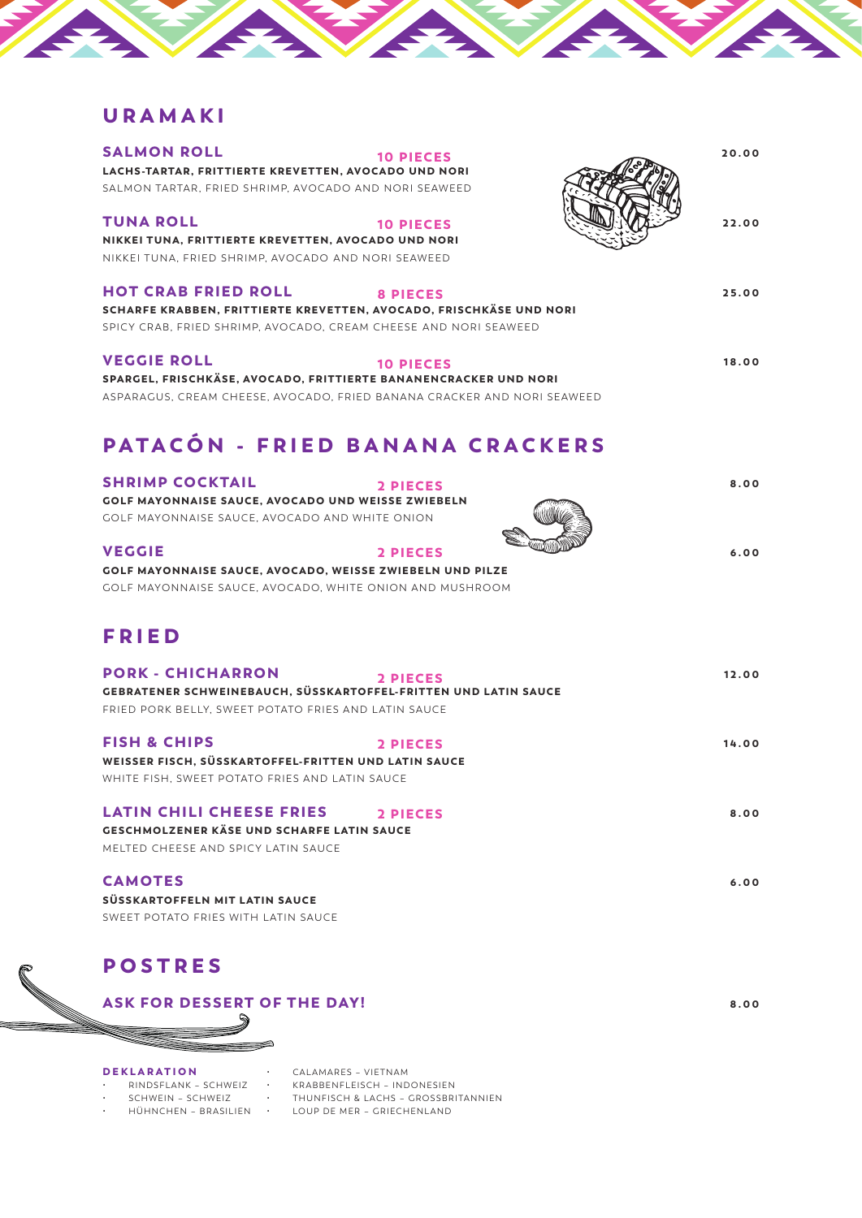## URAMAKI

| <b>SALMON ROLL</b><br><b>10 PIECES</b><br>LACHS-TARTAR, FRITTIERTE KREVETTEN, AVOCADO UND NORI<br>SALMON TARTAR, FRIED SHRIMP, AVOCADO AND NORI SEAWEED                                  | 20.00 |
|------------------------------------------------------------------------------------------------------------------------------------------------------------------------------------------|-------|
| <b>TUNA ROLL</b><br><b>10 PIECES</b><br>NIKKEI TUNA, FRITTIERTE KREVETTEN, AVOCADO UND NORI<br>NIKKEI TUNA, FRIED SHRIMP, AVOCADO AND NORI SEAWEED                                       | 22.00 |
| <b>HOT CRAB FRIED ROLL</b><br><b>8 PIECES</b><br>SCHARFE KRABBEN, FRITTIERTE KREVETTEN, AVOCADO, FRISCHKÄSE UND NORI<br>SPICY CRAB. FRIED SHRIMP, AVOCADO, CREAM CHEESE AND NORI SEAWEED | 25.00 |
| <b>VEGGIE ROLL</b><br><b>10 PIECES</b><br>SPARGEL, FRISCHKÄSE, AVOCADO, FRITTIERTE BANANENCRACKER UND NORI<br>ASPARAGUS, CREAM CHEESE, AVOCADO, FRIED BANANA CRACKER AND NORI SEAWEED    | 18.00 |
| PATACÓN - FRIED BANANA CRACKERS                                                                                                                                                          |       |
| <b>SHRIMP COCKTAIL</b><br>2 PIECES<br><b>GOLF MAYONNAISE SAUCE, AVOCADO UND WEISSE ZWIEBELN</b><br>GOLF MAYONNAISE SAUCE, AVOCADO AND WHITE ONION                                        | 8.00  |
| <b>VEGGIE</b><br>2 PIECES<br>GOLF MAYONNAISE SAUCE, AVOCADO, WEISSE ZWIEBELN UND PILZE<br>GOLF MAYONNAISE SAUCE, AVOCADO, WHITE ONION AND MUSHROOM                                       | 6.00  |
| <b>FRIED</b>                                                                                                                                                                             |       |
| <b>PORK - CHICHARRON</b><br>2 PIECES<br>GEBRATENER SCHWEINEBAUCH, SÜSSKARTOFFEL-FRITTEN UND LATIN SAUCE<br>FRIED PORK BELLY, SWEET POTATO FRIES AND LATIN SAUCE                          | 12.00 |
| <b>FISH &amp; CHIPS</b><br>2 PIECES<br>WEISSER FISCH, SÜSSKARTOFFEL-FRITTEN UND LATIN SAUCE<br>WHITE FISH, SWEET POTATO FRIES AND LATIN SAUCE                                            | 14.00 |
| <b>LATIN CHILI CHEESE FRIES</b><br>2 PIECES<br><b>GESCHMOLZENER KÄSE UND SCHARFE LATIN SAUCE</b><br>MELTED CHEESE AND SPICY LATIN SAUCE                                                  | 8.00  |
| <b>CAMOTES</b><br>SÜSSKARTOFFELN MIT LATIN SAUCE<br>SWEET POTATO FRIES WITH LATIN SAUCE                                                                                                  | 6.00  |
| <b>POSTRES</b>                                                                                                                                                                           |       |
| <b>ASK FOR DESSERT OF THE DAY!</b>                                                                                                                                                       | 8.00  |
|                                                                                                                                                                                          |       |
| <b>DEKLARATION</b><br>CALAMARES - VIETNAM<br>RINDSFLANK - SCHWEIZ<br>KRABBENFLEISCH - INDONESIEN                                                                                         |       |

## DEKLARATION<br>· RINDSFLANK -

- RINDSFLANK SCHWEIZ
- SCHWEIN SCHWEIZ

• HÜHNCHEN – BRASILIEN

• THUNFISCH & LACHS – GROSSBRITANNIEN

• LOUP DE MER – GRIECHENLAND